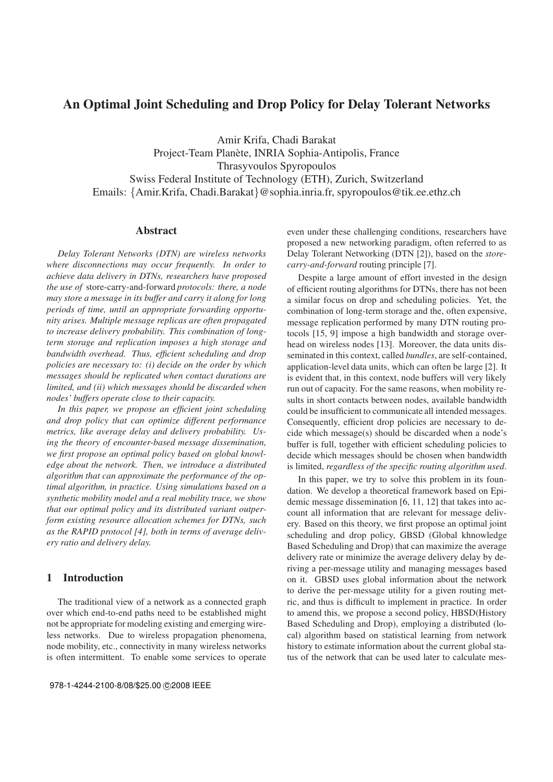# **An Optimal Joint Scheduling and Drop Policy for Delay Tolerant Networks**

Amir Krifa, Chadi Barakat Project-Team Planète, INRIA Sophia-Antipolis, France Thrasyvoulos Spyropoulos Swiss Federal Institute of Technology (ETH), Zurich, Switzerland Emails: {Amir.Krifa, Chadi.Barakat}@sophia.inria.fr, spyropoulos@tik.ee.ethz.ch

## **Abstract**

*Delay Tolerant Networks (DTN) are wireless networks where disconnections may occur frequently. In order to achieve data delivery in DTNs, researchers have proposed the use of* store-carry-and-forward *protocols: there, a node may store a message in its buffer and carry it along for long periods of time, until an appropriate forwarding opportunity arises. Multiple message replicas are often propagated to increase delivery probability. This combination of longterm storage and replication imposes a high storage and bandwidth overhead. Thus, efficient scheduling and drop policies are necessary to: (i) decide on the order by which messages should be replicated when contact durations are limited, and (ii) which messages should be discarded when nodes' buffers operate close to their capacity.*

*In this paper, we propose an efficient joint scheduling and drop policy that can optimize different performance metrics, like average delay and delivery probability. Using the theory of encounter-based message dissemination, we first propose an optimal policy based on global knowledge about the network. Then, we introduce a distributed algorithm that can approximate the performance of the optimal algorithm, in practice. Using simulations based on a synthetic mobility model and a real mobility trace, we show that our optimal policy and its distributed variant outperform existing resource allocation schemes for DTNs, such as the RAPID protocol [4], both in terms of average delivery ratio and delivery delay.*

## **1 Introduction**

The traditional view of a network as a connected graph over which end-to-end paths need to be established might not be appropriate for modeling existing and emerging wireless networks. Due to wireless propagation phenomena, node mobility, etc., connectivity in many wireless networks is often intermittent. To enable some services to operate even under these challenging conditions, researchers have proposed a new networking paradigm, often referred to as Delay Tolerant Networking (DTN [2]), based on the *storecarry-and-forward* routing principle [7].

Despite a large amount of effort invested in the design of efficient routing algorithms for DTNs, there has not been a similar focus on drop and scheduling policies. Yet, the combination of long-term storage and the, often expensive, message replication performed by many DTN routing protocols [15, 9] impose a high bandwidth and storage overhead on wireless nodes [13]. Moreover, the data units disseminated in this context, called *bundles*, are self-contained, application-level data units, which can often be large [2]. It is evident that, in this context, node buffers will very likely run out of capacity. For the same reasons, when mobility results in short contacts between nodes, available bandwidth could be insufficient to communicate all intended messages. Consequently, efficient drop policies are necessary to decide which message(s) should be discarded when a node's buffer is full, together with efficient scheduling policies to decide which messages should be chosen when bandwidth is limited, *regardless of the specific routing algorithm used*.

In this paper, we try to solve this problem in its foundation. We develop a theoretical framework based on Epidemic message dissemination [6, 11, 12] that takes into account all information that are relevant for message delivery. Based on this theory, we first propose an optimal joint scheduling and drop policy, GBSD (Global khnowledge Based Scheduling and Drop) that can maximize the average delivery rate or minimize the average delivery delay by deriving a per-message utility and managing messages based on it. GBSD uses global information about the network to derive the per-message utility for a given routing metric, and thus is difficult to implement in practice. In order to amend this, we propose a second policy, HBSD(History Based Scheduling and Drop), employing a distributed (local) algorithm based on statistical learning from network history to estimate information about the current global status of the network that can be used later to calculate mes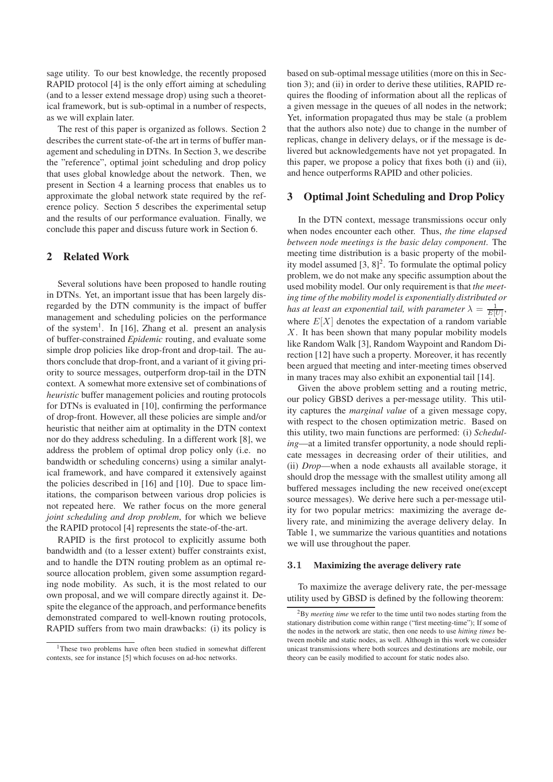sage utility. To our best knowledge, the recently proposed RAPID protocol [4] is the only effort aiming at scheduling (and to a lesser extend message drop) using such a theoretical framework, but is sub-optimal in a number of respects, as we will explain later.

The rest of this paper is organized as follows. Section 2 describes the current state-of-the art in terms of buffer management and scheduling in DTNs. In Section 3, we describe the "reference", optimal joint scheduling and drop policy that uses global knowledge about the network. Then, we present in Section 4 a learning process that enables us to approximate the global network state required by the reference policy. Section 5 describes the experimental setup and the results of our performance evaluation. Finally, we conclude this paper and discuss future work in Section 6.

## **2 Related Work**

Several solutions have been proposed to handle routing in DTNs. Yet, an important issue that has been largely disregarded by the DTN community is the impact of buffer management and scheduling policies on the performance of the system<sup>1</sup>. In [16], Zhang et al. present an analysis of buffer-constrained *Epidemic* routing, and evaluate some simple drop policies like drop-front and drop-tail. The authors conclude that drop-front, and a variant of it giving priority to source messages, outperform drop-tail in the DTN context. A somewhat more extensive set of combinations of *heuristic* buffer management policies and routing protocols for DTNs is evaluated in [10], confirming the performance of drop-front. However, all these policies are simple and/or heuristic that neither aim at optimality in the DTN context nor do they address scheduling. In a different work [8], we address the problem of optimal drop policy only (i.e. no bandwidth or scheduling concerns) using a similar analytical framework, and have compared it extensively against the policies described in [16] and [10]. Due to space limitations, the comparison between various drop policies is not repeated here. We rather focus on the more general *joint scheduling and drop problem*, for which we believe the RAPID protocol [4] represents the state-of-the-art.

RAPID is the first protocol to explicitly assume both bandwidth and (to a lesser extent) buffer constraints exist, and to handle the DTN routing problem as an optimal resource allocation problem, given some assumption regarding node mobility. As such, it is the most related to our own proposal, and we will compare directly against it. Despite the elegance of the approach, and performance benefits demonstrated compared to well-known routing protocols, RAPID suffers from two main drawbacks: (i) its policy is

based on sub-optimal message utilities (more on this in Section 3); and (ii) in order to derive these utilities, RAPID requires the flooding of information about all the replicas of a given message in the queues of all nodes in the network; Yet, information propagated thus may be stale (a problem that the authors also note) due to change in the number of replicas, change in delivery delays, or if the message is delivered but acknowledgements have not yet propagated. In this paper, we propose a policy that fixes both (i) and (ii), and hence outperforms RAPID and other policies.

### **3 Optimal Joint Scheduling and Drop Policy**

In the DTN context, message transmissions occur only when nodes encounter each other. Thus, *the time elapsed between node meetings is the basic delay component*. The meeting time distribution is a basic property of the mobility model assumed  $[3, 8]^2$ . To formulate the optimal policy problem, we do not make any specific assumption about the used mobility model. Our only requirement is that *the meeting time of the mobility model is exponentially distributed or* has at least an exponential tail, with parameter  $\lambda = \frac{1}{E[U]},$ where  $E[X]$  denotes the expectation of a random variable  $X$ . It has been shown that many popular mobility models like Random Walk [3], Random Waypoint and Random Direction [12] have such a property. Moreover, it has recently been argued that meeting and inter-meeting times observed in many traces may also exhibit an exponential tail [14].

Given the above problem setting and a routing metric, our policy GBSD derives a per-message utility. This utility captures the *marginal value* of a given message copy, with respect to the chosen optimization metric. Based on this utility, two main functions are performed: (i) *Scheduling*—at a limited transfer opportunity, a node should replicate messages in decreasing order of their utilities, and (ii) *Drop*—when a node exhausts all available storage, it should drop the message with the smallest utility among all buffered messages including the new received one(except source messages). We derive here such a per-message utility for two popular metrics: maximizing the average delivery rate, and minimizing the average delivery delay. In Table 1, we summarize the various quantities and notations we will use throughout the paper.

#### 3.1 **Maximizing the average delivery rate**

To maximize the average delivery rate, the per-message utility used by GBSD is defined by the following theorem:

<sup>&</sup>lt;sup>1</sup>These two problems have often been studied in somewhat different contexts, see for instance [5] which focuses on ad-hoc networks.

<sup>2</sup>By *meeting time* we refer to the time until two nodes starting from the stationary distribution come within range ("first meeting-time"); If some of the nodes in the network are static, then one needs to use *hitting times* between mobile and static nodes, as well. Although in this work we consider unicast transmissions where both sources and destinations are mobile, our theory can be easily modified to account for static nodes also.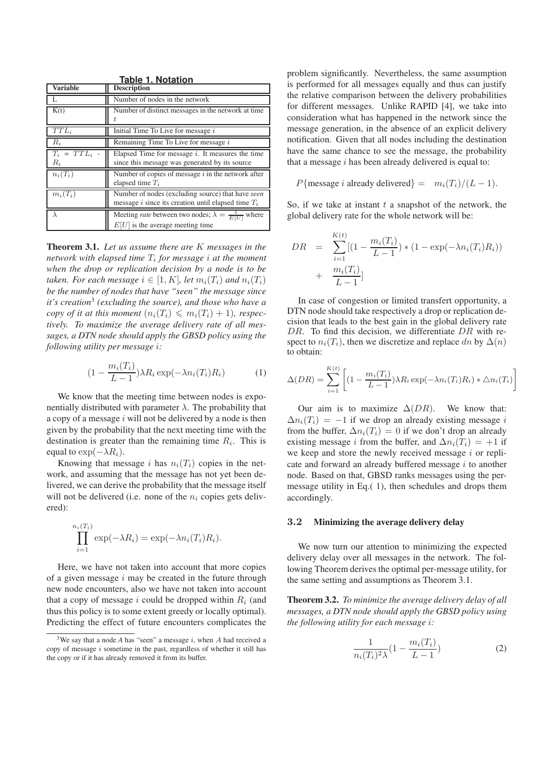| <b>Table 1. Notation</b> |                                                                                                               |  |  |  |  |
|--------------------------|---------------------------------------------------------------------------------------------------------------|--|--|--|--|
| Variable                 | <b>Description</b>                                                                                            |  |  |  |  |
|                          | Number of nodes in the network                                                                                |  |  |  |  |
| K(t)                     | Number of distinct messages in the network at time<br>t.                                                      |  |  |  |  |
| $TTL_i$                  | Initial Time To Live for message $i$                                                                          |  |  |  |  |
| $R_i$                    | Remaining Time To Live for message i                                                                          |  |  |  |  |
| $T_i = TTL_i$<br>$R_i$   | Elapsed Time for message $i$ . It measures the time<br>since this message was generated by its source         |  |  |  |  |
| $n_i(T_i)$               | Number of copies of message $i$ in the network after<br>elapsed time $T_i$                                    |  |  |  |  |
| $m_i(T_i)$               | Number of nodes (excluding source) that have seen<br>message i since its creation until elapsed time $T_i$    |  |  |  |  |
| $\lambda$                | Meeting <i>rate</i> between two nodes; $\lambda = \frac{1}{E[U]}$ where<br>$E[U]$ is the average meeting time |  |  |  |  |

**Theorem 3.1.** *Let us assume there are* K *messages in the network with elapsed time* T<sup>i</sup> *for message* i *at the moment when the drop or replication decision by a node is to be taken. For each message*  $i \in [1, K]$ *, let*  $m_i(T_i)$  *and*  $n_i(T_i)$ *be the number of nodes that have "seen" the message since it's creation*<sup>3</sup> *(excluding the source), and those who have a copy of it at this moment*  $(n_i(T_i) \leq m_i(T_i) + 1)$ *, respectively. To maximize the average delivery rate of all messages, a DTN node should apply the GBSD policy using the following utility per message* i*:*

$$
(1 - \frac{m_i(T_i)}{L - 1})\lambda R_i \exp(-\lambda n_i(T_i)R_i)
$$
 (1)

We know that the meeting time between nodes is exponentially distributed with parameter  $\lambda$ . The probability that a copy of a message  $i$  will not be delivered by a node is then given by the probability that the next meeting time with the destination is greater than the remaining time  $R_i$ . This is equal to  $\exp(-\lambda R_i)$ .

Knowing that message i has  $n_i(T_i)$  copies in the network, and assuming that the message has not yet been delivered, we can derive the probability that the message itself will not be delivered (i.e. none of the  $n_i$  copies gets delivered):

$$
\prod_{i=1}^{n_i(T_i)} \exp(-\lambda R_i) = \exp(-\lambda n_i(T_i)R_i).
$$

Here, we have not taken into account that more copies of a given message  $i$  may be created in the future through new node encounters, also we have not taken into account that a copy of message i could be dropped within  $R_i$  (and thus this policy is to some extent greedy or locally optimal). Predicting the effect of future encounters complicates the problem significantly. Nevertheless, the same assumption is performed for all messages equally and thus can justify the relative comparison between the delivery probabilities for different messages. Unlike RAPID [4], we take into consideration what has happened in the network since the message generation, in the absence of an explicit delivery notification. Given that all nodes including the destination have the same chance to see the message, the probability that a message  $i$  has been already delivered is equal to:

$$
P
$$
{message *i* already delivered} =  $m_i(T_i)/(L-1)$ .

So, if we take at instant  $t$  a snapshot of the network, the global delivery rate for the whole network will be:

$$
DR = \sum_{i=1}^{K(t)} [(1 - \frac{m_i(T_i)}{L - 1}) * (1 - \exp(-\lambda n_i(T_i) R_i)) + \frac{m_i(T_i)}{L - 1}]
$$

In case of congestion or limited transfert opportunity, a DTN node should take respectively a drop or replication decision that leads to the best gain in the global delivery rate  $DR$ . To find this decision, we differentiate  $DR$  with respect to  $n_i(T_i)$ , then we discretize and replace dn by  $\Delta(n)$ to obtain:

$$
\Delta(DR) = \sum_{i=1}^{K(t)} \left[ (1 - \frac{m_i(T_i)}{L-1}) \lambda R_i \exp(-\lambda n_i(T_i) R_i) * \Delta n_i(T_i) \right]
$$

Our aim is to maximize  $\Delta(DR)$ . We know that:  $\Delta n_i(T_i) = -1$  if we drop an already existing message i from the buffer,  $\Delta n_i(T_i) = 0$  if we don't drop an already existing message *i* from the buffer, and  $\Delta n_i(T_i) = +1$  if we keep and store the newly received message  $i$  or replicate and forward an already buffered message i to another node. Based on that, GBSD ranks messages using the permessage utility in Eq.( 1), then schedules and drops them accordingly.

### 3.2 **Minimizing the average delivery delay**

We now turn our attention to minimizing the expected delivery delay over all messages in the network. The following Theorem derives the optimal per-message utility, for the same setting and assumptions as Theorem 3.1.

**Theorem 3.2.** *To minimize the average delivery delay of all messages, a DTN node should apply the GBSD policy using the following utility for each message* i*:*

$$
\frac{1}{n_i(T_i)^2 \lambda} (1 - \frac{m_i(T_i)}{L - 1})
$$
 (2)

<sup>&</sup>lt;sup>3</sup>We say that a node  $A$  has "seen" a message  $i$ , when  $A$  had received a copy of message  $i$  sometime in the past, regardless of whether it still has the copy or if it has already removed it from its buffer.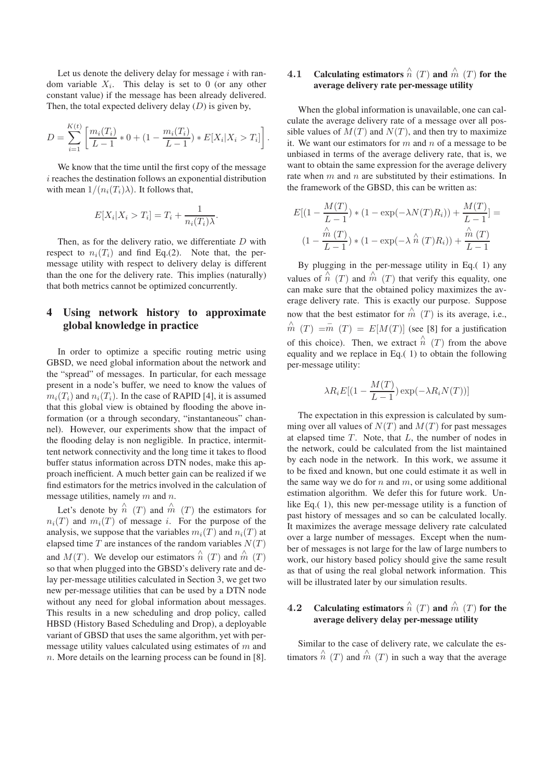Let us denote the delivery delay for message  $i$  with random variable  $X_i$ . This delay is set to 0 (or any other constant value) if the message has been already delivered. Then, the total expected delivery delay  $(D)$  is given by,

$$
D = \sum_{i=1}^{K(t)} \left[ \frac{m_i(T_i)}{L-1} * 0 + (1 - \frac{m_i(T_i)}{L-1}) * E[X_i | X_i > T_i] \right].
$$

We know that the time until the first copy of the message  $i$  reaches the destination follows an exponential distribution with mean  $1/(n_i(T_i)\lambda)$ . It follows that,

$$
E[X_i | X_i > T_i] = T_i + \frac{1}{n_i(T_i)\lambda}.
$$

Then, as for the delivery ratio, we differentiate  $D$  with respect to  $n_i(T_i)$  and find Eq.(2). Note that, the permessage utility with respect to delivery delay is different than the one for the delivery rate. This implies (naturally) that both metrics cannot be optimized concurrently.

# **4 Using network history to approximate global knowledge in practice**

In order to optimize a specific routing metric using GBSD, we need global information about the network and the "spread" of messages. In particular, for each message present in a node's buffer, we need to know the values of  $m_i(T_i)$  and  $n_i(T_i)$ . In the case of RAPID [4], it is assumed that this global view is obtained by flooding the above information (or a through secondary, "instantaneous" channel). However, our experiments show that the impact of the flooding delay is non negligible. In practice, intermittent network connectivity and the long time it takes to flood buffer status information across DTN nodes, make this approach inefficient. A much better gain can be realized if we find estimators for the metrics involved in the calculation of message utilities, namely  $m$  and  $n$ .

Let's denote by  $\stackrel{\wedge}{n}(T)$  and  $\stackrel{\wedge}{m}(T)$  the estimators for  $n_i(T)$  and  $m_i(T)$  of message i. For the purpose of the analysis, we suppose that the variables  $m_i(T)$  and  $n_i(T)$  at elapsed time  $T$  are instances of the random variables  $N(T)$ and  $M(T)$ . We develop our estimators  $\hat{n}$  (T) and  $\hat{m}$  (T) so that when plugged into the GBSD's delivery rate and delay per-message utilities calculated in Section 3, we get two new per-message utilities that can be used by a DTN node without any need for global information about messages. This results in a new scheduling and drop policy, called HBSD (History Based Scheduling and Drop), a deployable variant of GBSD that uses the same algorithm, yet with permessage utility values calculated using estimates of  $m$  and  $n.$  More details on the learning process can be found in [8].

# **4.1 Calculating estimators**  $\stackrel{\wedge}{n}$  (T) **and**  $\stackrel{\wedge}{m}$  (T) **for the average delivery rate per-message utility**

When the global information is unavailable, one can calculate the average delivery rate of a message over all possible values of  $M(T)$  and  $N(T)$ , and then try to maximize it. We want our estimators for  $m$  and  $n$  of a message to be unbiased in terms of the average delivery rate, that is, we want to obtain the same expression for the average delivery rate when  $m$  and  $n$  are substituted by their estimations. In the framework of the GBSD, this can be written as:

$$
E[(1 - \frac{M(T)}{L - 1}) * (1 - \exp(-\lambda N(T)R_i)) + \frac{M(T)}{L - 1}] =
$$
  

$$
(1 - \frac{\hat{m}(T)}{L - 1}) * (1 - \exp(-\lambda \hat{n}(T)R_i)) + \frac{\hat{m}(T)}{L - 1}
$$

By plugging in the per-message utility in Eq.( 1) any values of  $\overrightarrow{n}$  (T) and  $\overrightarrow{m}$  (T) that verify this equality, one can make sure that the obtained policy maximizes the average delivery rate. This is exactly our purpose. Suppose now that the best estimator for  $\hat{m}$  (T) is its average, i.e.,  $\hat{m}(T) = \overline{m}(T) = E[M(T)]$  (see [8] for a justification of this choice). Then, we extract  $\hat{n}(T)$  from the above equality and we replace in Eq.( 1) to obtain the following per-message utility:

$$
\lambda R_i E[(1 - \frac{M(T)}{L - 1}) \exp(-\lambda R_i N(T))]
$$

The expectation in this expression is calculated by summing over all values of  $N(T)$  and  $M(T)$  for past messages at elapsed time  $T$ . Note, that  $L$ , the number of nodes in the network, could be calculated from the list maintained by each node in the network. In this work, we assume it to be fixed and known, but one could estimate it as well in the same way we do for  $n$  and  $m$ , or using some additional estimation algorithm. We defer this for future work. Unlike Eq.( 1), this new per-message utility is a function of past history of messages and so can be calculated locally. It maximizes the average message delivery rate calculated over a large number of messages. Except when the number of messages is not large for the law of large numbers to work, our history based policy should give the same result as that of using the real global network information. This will be illustrated later by our simulation results.

# **4.2** Calculating estimators  $\stackrel{\wedge}{n}(T)$  and  $\stackrel{\wedge}{m}(T)$  for the **average delivery delay per-message utility**

Similar to the case of delivery rate, we calculate the estimators  $\stackrel{\wedge}{n}(T)$  and  $\stackrel{\wedge}{m}(T)$  in such a way that the average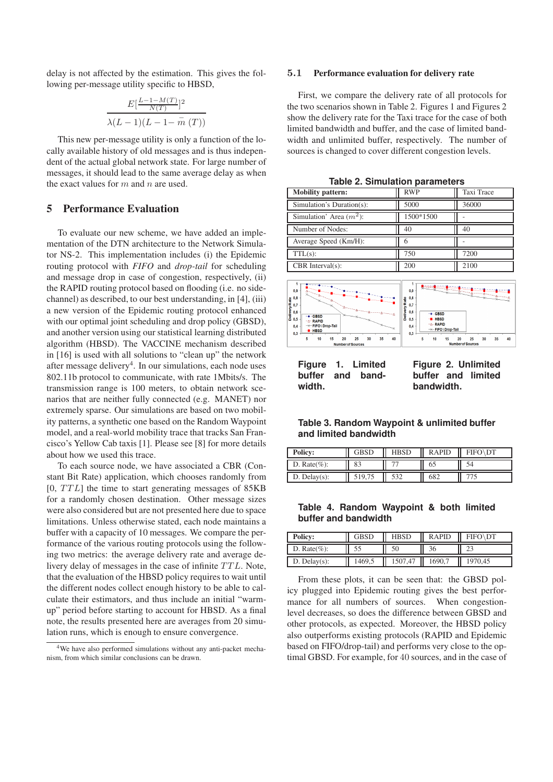delay is not affected by the estimation. This gives the following per-message utility specific to HBSD,

$$
\frac{E[\frac{L-1-M(T)}{N(T)}]^2}{\lambda(L-1)(L-1-\overline{m}(T))}
$$

This new per-message utility is only a function of the locally available history of old messages and is thus independent of the actual global network state. For large number of messages, it should lead to the same average delay as when the exact values for  $m$  and  $n$  are used.

## **5 Performance Evaluation**

To evaluate our new scheme, we have added an implementation of the DTN architecture to the Network Simulator NS-2. This implementation includes (i) the Epidemic routing protocol with *FIFO* and *drop-tail* for scheduling and message drop in case of congestion, respectively, (ii) the RAPID routing protocol based on flooding (i.e. no sidechannel) as described, to our best understanding, in [4], (iii) a new version of the Epidemic routing protocol enhanced with our optimal joint scheduling and drop policy (GBSD), and another version using our statistical learning distributed algorithm (HBSD). The VACCINE mechanism described in [16] is used with all solutions to "clean up" the network after message delivery<sup>4</sup>. In our simulations, each node uses 802.11b protocol to communicate, with rate 1Mbits/s. The transmission range is 100 meters, to obtain network scenarios that are neither fully connected (e.g. MANET) nor extremely sparse. Our simulations are based on two mobility patterns, a synthetic one based on the Random Waypoint model, and a real-world mobility trace that tracks San Francisco's Yellow Cab taxis [1]. Please see [8] for more details about how we used this trace.

To each source node, we have associated a CBR (Constant Bit Rate) application, which chooses randomly from  $[0, TTL]$  the time to start generating messages of 85KB for a randomly chosen destination. Other message sizes were also considered but are not presented here due to space limitations. Unless otherwise stated, each node maintains a buffer with a capacity of 10 messages. We compare the performance of the various routing protocols using the following two metrics: the average delivery rate and average delivery delay of messages in the case of infinite  $TTL$ . Note, that the evaluation of the HBSD policy requires to wait until the different nodes collect enough history to be able to calculate their estimators, and thus include an initial "warmup" period before starting to account for HBSD. As a final note, the results presented here are averages from 20 simulation runs, which is enough to ensure convergence.

#### 5.1 **Performance evaluation for delivery rate**

First, we compare the delivery rate of all protocols for the two scenarios shown in Table 2. Figures 1 and Figures 2 show the delivery rate for the Taxi trace for the case of both limited bandwidth and buffer, and the case of limited bandwidth and unlimited buffer, respectively. The number of sources is changed to cover different congestion levels.

| rapic 2. Ollimalation parameters |            |            |  |  |  |  |
|----------------------------------|------------|------------|--|--|--|--|
| <b>Mobility pattern:</b>         | <b>RWP</b> | Taxi Trace |  |  |  |  |
| Simulation's Duration(s):        | 5000       | 36000      |  |  |  |  |
| Simulation' Area $(m^2)$ :       | 1500*1500  |            |  |  |  |  |
| Number of Nodes:                 | 40         | 40         |  |  |  |  |
| Average Speed (Km/H):            |            |            |  |  |  |  |
| $TTL(s)$ :                       | 750        | 7200       |  |  |  |  |
| CBR Interval $(s)$ :             | 200        | 2100       |  |  |  |  |
|                                  |            |            |  |  |  |  |

**Table 2. Simulation parameters**



**Figure 1. Limited buffer and bandwidth.**

**Figure 2. Unlimited buffer and limited bandwidth.**

## **Table 3. Random Waypoint & unlimited buffer and limited bandwidth**

| <b>Policy:</b>     | <b>GBSD</b> | <b>HBSD</b> | <b>RAPID</b> | FIFO\DT |
|--------------------|-------------|-------------|--------------|---------|
| D. Rate $(\%)$ :   | 83          |             | 62           | 54      |
| $D.$ Delay $(s)$ : | 519,75      | 532         | 682          |         |

### **Table 4. Random Waypoint & both limited buffer and bandwidth**

| <b>Policy:</b>     | <b>GBSD</b> | <b>HBSD</b> | <b>RAPID</b> | FIFO\DT |
|--------------------|-------------|-------------|--------------|---------|
| D. Rate $(\%)$ :   | JЭ          | 50          | 36           | 23      |
| $D.$ Delay $(s)$ : | 1469.5      | 1507.47     | 1690.7       | 1970.45 |

From these plots, it can be seen that: the GBSD policy plugged into Epidemic routing gives the best performance for all numbers of sources. When congestionlevel decreases, so does the difference between GBSD and other protocols, as expected. Moreover, the HBSD policy also outperforms existing protocols (RAPID and Epidemic based on FIFO/drop-tail) and performs very close to the optimal GBSD. For example, for 40 sources, and in the case of

<sup>4</sup>We have also performed simulations without any anti-packet mechanism, from which similar conclusions can be drawn.